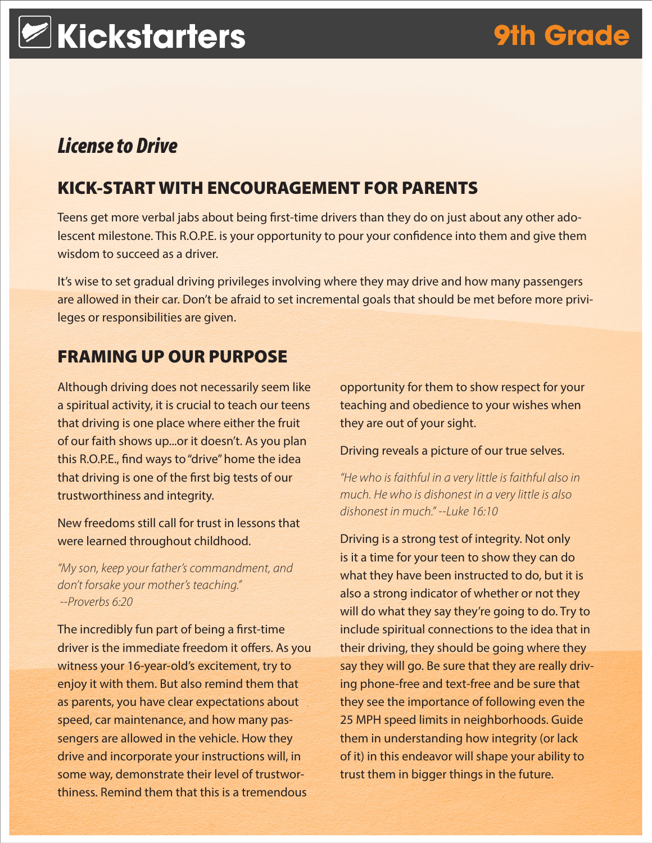# *License to Drive*

# KICK-START WITH ENCOURAGEMENT FOR PARENTS

Teens get more verbal jabs about being first-time drivers than they do on just about any other adolescent milestone. This R.O.P.E. is your opportunity to pour your confidence into them and give them wisdom to succeed as a driver.

It's wise to set gradual driving privileges involving where they may drive and how many passengers are allowed in their car. Don't be afraid to set incremental goals that should be met before more privileges or responsibilities are given.

### FRAMING UP OUR PURPOSE

Although driving does not necessarily seem like a spiritual activity, it is crucial to teach our teens that driving is one place where either the fruit of our faith shows up...or it doesn't. As you plan this R.O.P.E., find ways to "drive" home the idea that driving is one of the first big tests of our trustworthiness and integrity.

New freedoms still call for trust in lessons that were learned throughout childhood.

*"My son, keep your father's commandment, and don't forsake your mother's teaching." --Proverbs 6:20*

The incredibly fun part of being a first-time driver is the immediate freedom it offers. As you witness your 16-year-old's excitement, try to enjoy it with them. But also remind them that as parents, you have clear expectations about speed, car maintenance, and how many passengers are allowed in the vehicle. How they drive and incorporate your instructions will, in some way, demonstrate their level of trustworthiness. Remind them that this is a tremendous

opportunity for them to show respect for your teaching and obedience to your wishes when they are out of your sight.

Driving reveals a picture of our true selves.

*"He who is faithful in a very little is faithful also in much. He who is dishonest in a very little is also dishonest in much." --Luke 16:10*

Driving is a strong test of integrity. Not only is it a time for your teen to show they can do what they have been instructed to do, but it is also a strong indicator of whether or not they will do what they say they're going to do. Try to include spiritual connections to the idea that in their driving, they should be going where they say they will go. Be sure that they are really driving phone-free and text-free and be sure that they see the importance of following even the 25 MPH speed limits in neighborhoods. Guide them in understanding how integrity (or lack of it) in this endeavor will shape your ability to trust them in bigger things in the future.